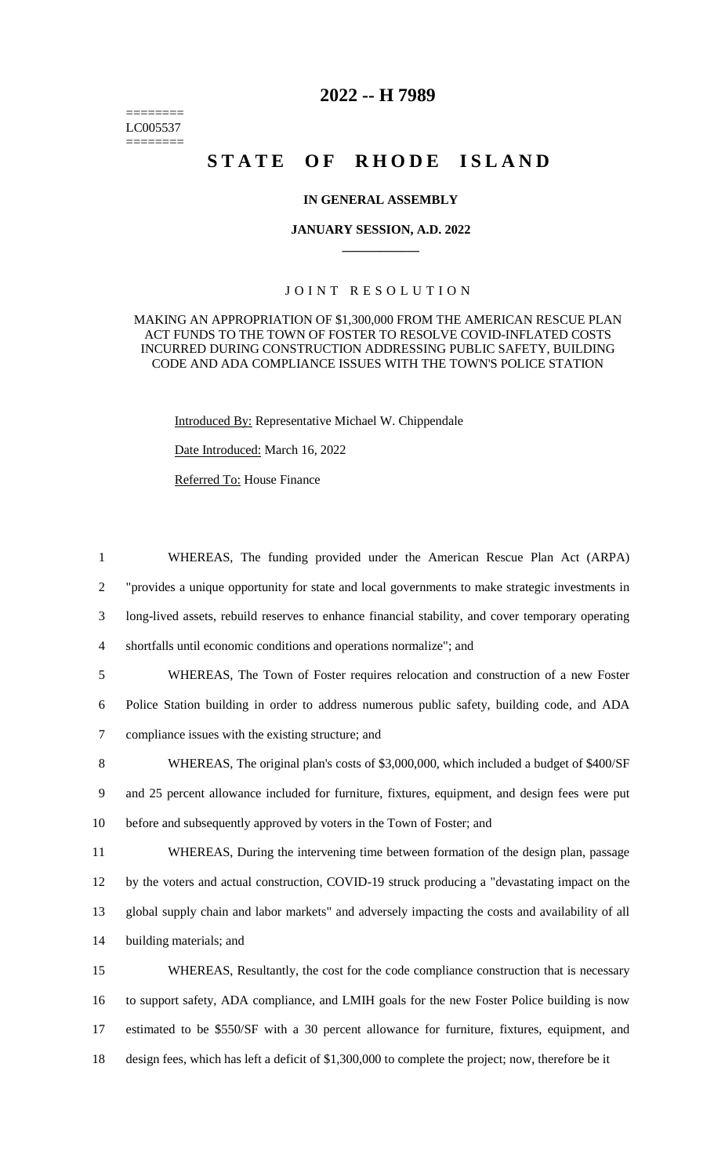======== LC005537 ========

## **2022 -- H 7989**

# **STATE OF RHODE ISLAND**

#### **IN GENERAL ASSEMBLY**

#### **JANUARY SESSION, A.D. 2022 \_\_\_\_\_\_\_\_\_\_\_\_**

### JOINT RESOLUTION

MAKING AN APPROPRIATION OF \$1,300,000 FROM THE AMERICAN RESCUE PLAN ACT FUNDS TO THE TOWN OF FOSTER TO RESOLVE COVID-INFLATED COSTS INCURRED DURING CONSTRUCTION ADDRESSING PUBLIC SAFETY, BUILDING CODE AND ADA COMPLIANCE ISSUES WITH THE TOWN'S POLICE STATION

Introduced By: Representative Michael W. Chippendale

Date Introduced: March 16, 2022

Referred To: House Finance

 WHEREAS, The funding provided under the American Rescue Plan Act (ARPA) "provides a unique opportunity for state and local governments to make strategic investments in long-lived assets, rebuild reserves to enhance financial stability, and cover temporary operating shortfalls until economic conditions and operations normalize"; and WHEREAS, The Town of Foster requires relocation and construction of a new Foster Police Station building in order to address numerous public safety, building code, and ADA compliance issues with the existing structure; and WHEREAS, The original plan's costs of \$3,000,000, which included a budget of \$400/SF and 25 percent allowance included for furniture, fixtures, equipment, and design fees were put before and subsequently approved by voters in the Town of Foster; and WHEREAS, During the intervening time between formation of the design plan, passage by the voters and actual construction, COVID-19 struck producing a "devastating impact on the global supply chain and labor markets" and adversely impacting the costs and availability of all

14 building materials; and

 WHEREAS, Resultantly, the cost for the code compliance construction that is necessary to support safety, ADA compliance, and LMIH goals for the new Foster Police building is now estimated to be \$550/SF with a 30 percent allowance for furniture, fixtures, equipment, and design fees, which has left a deficit of \$1,300,000 to complete the project; now, therefore be it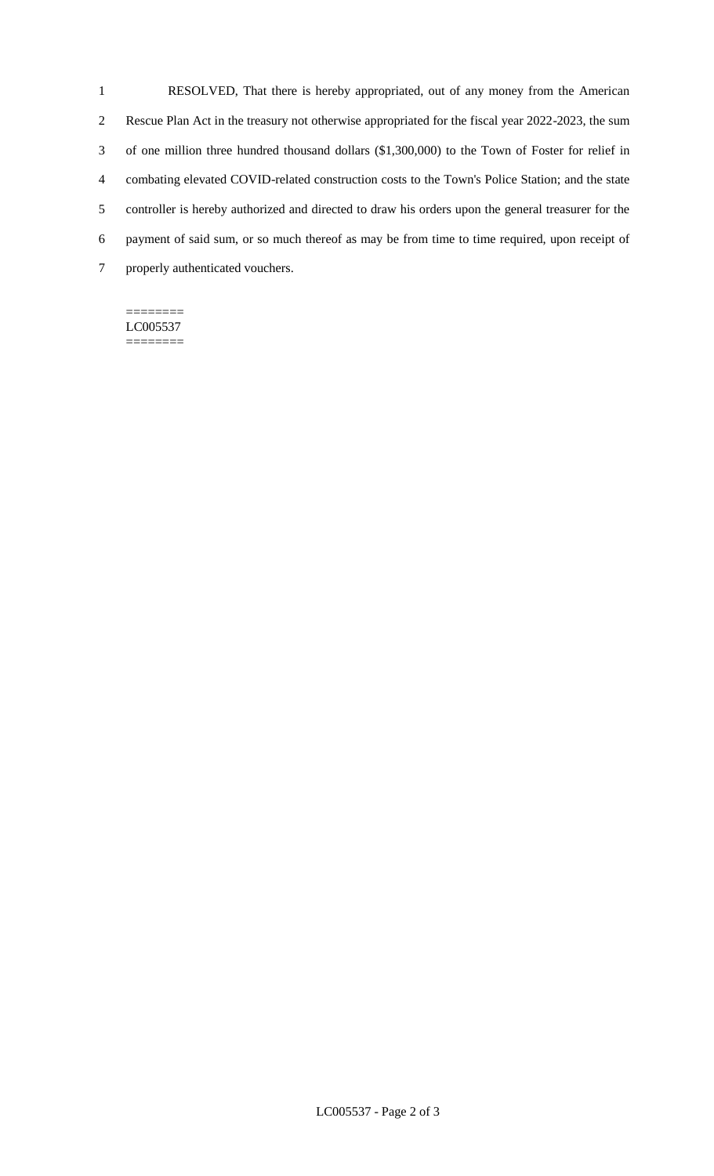RESOLVED, That there is hereby appropriated, out of any money from the American Rescue Plan Act in the treasury not otherwise appropriated for the fiscal year 2022-2023, the sum of one million three hundred thousand dollars (\$1,300,000) to the Town of Foster for relief in combating elevated COVID-related construction costs to the Town's Police Station; and the state controller is hereby authorized and directed to draw his orders upon the general treasurer for the payment of said sum, or so much thereof as may be from time to time required, upon receipt of properly authenticated vouchers.

======== LC005537 ========